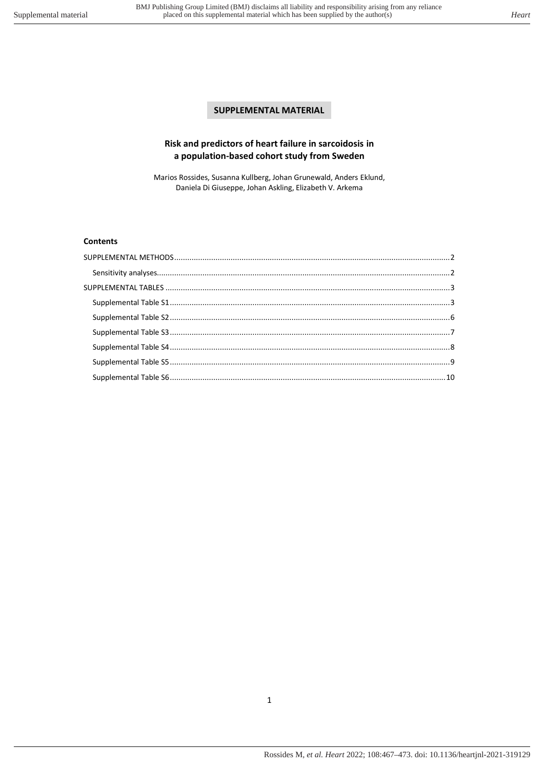# **SUPPLEMENTAL MATERIAL**

## **Risk and predictors of heart failure in sarcoidosis in a population-based cohort study from Sweden**

Marios Rossides, Susanna Kullberg, Johan Grunewald, Anders Eklund, Daniela Di Giuseppe, Johan Askling, Elizabeth V. Arkema

## **Contents**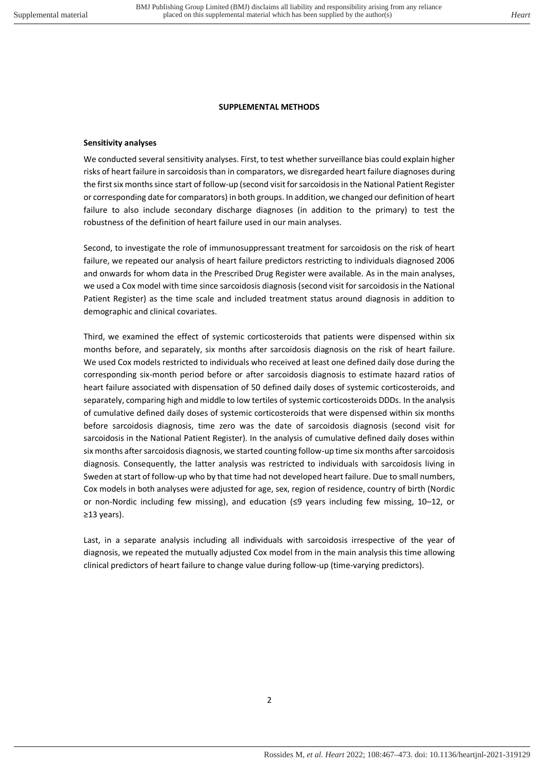### **SUPPLEMENTAL METHODS**

#### <span id="page-1-1"></span><span id="page-1-0"></span>**Sensitivity analyses**

We conducted several sensitivity analyses. First, to test whether surveillance bias could explain higher risks of heart failure in sarcoidosis than in comparators, we disregarded heart failure diagnoses during the first six months since start of follow-up (second visit for sarcoidosis in the National Patient Register or corresponding date for comparators) in both groups. In addition, we changed our definition of heart failure to also include secondary discharge diagnoses (in addition to the primary) to test the robustness of the definition of heart failure used in our main analyses.

Second, to investigate the role of immunosuppressant treatment for sarcoidosis on the risk of heart failure, we repeated our analysis of heart failure predictors restricting to individuals diagnosed 2006 and onwards for whom data in the Prescribed Drug Register were available. As in the main analyses, we used a Cox model with time since sarcoidosis diagnosis (second visit for sarcoidosis in the National Patient Register) as the time scale and included treatment status around diagnosis in addition to demographic and clinical covariates.

Third, we examined the effect of systemic corticosteroids that patients were dispensed within six months before, and separately, six months after sarcoidosis diagnosis on the risk of heart failure. We used Cox models restricted to individuals who received at least one defined daily dose during the corresponding six-month period before or after sarcoidosis diagnosis to estimate hazard ratios of heart failure associated with dispensation of 50 defined daily doses of systemic corticosteroids, and separately, comparing high and middle to low tertiles of systemic corticosteroids DDDs. In the analysis of cumulative defined daily doses of systemic corticosteroids that were dispensed within six months before sarcoidosis diagnosis, time zero was the date of sarcoidosis diagnosis (second visit for sarcoidosis in the National Patient Register). In the analysis of cumulative defined daily doses within six months after sarcoidosis diagnosis, we started counting follow-up time six months after sarcoidosis diagnosis. Consequently, the latter analysis was restricted to individuals with sarcoidosis living in Sweden at start of follow-up who by that time had not developed heart failure. Due to small numbers, Cox models in both analyses were adjusted for age, sex, region of residence, country of birth (Nordic or non-Nordic including few missing), and education (≤9 years including few missing, 10–12, or ≥13 years).

Last, in a separate analysis including all individuals with sarcoidosis irrespective of the year of diagnosis, we repeated the mutually adjusted Cox model from in the main analysis this time allowing clinical predictors of heart failure to change value during follow-up (time-varying predictors).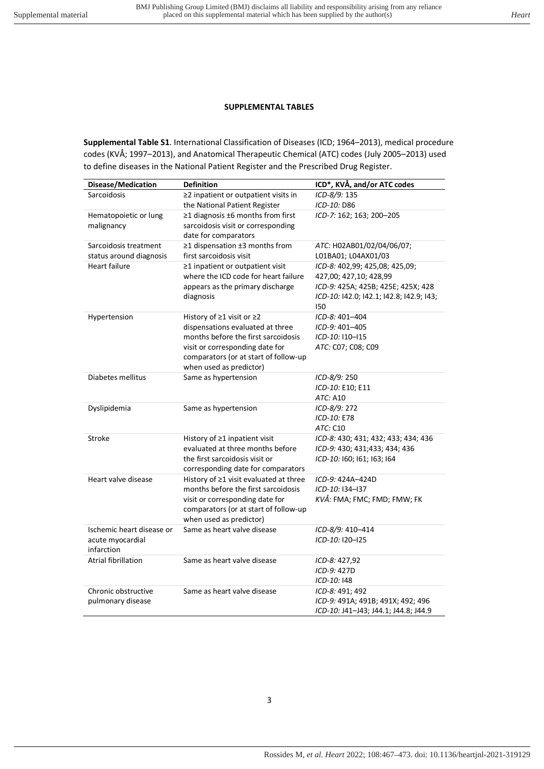## **SUPPLEMENTAL TABLES**

<span id="page-2-1"></span><span id="page-2-0"></span>**Supplemental Table S1**. International Classification of Diseases (ICD; 1964–2013), medical procedure codes (KVÅ; 1997–2013), and Anatomical Therapeutic Chemical (ATC) codes (July 2005–2013) used to define diseases in the National Patient Register and the Prescribed Drug Register.

| Disease/Medication                       | <b>Definition</b>                                                        | ICD*, KVÅ, and/or ATC codes                           |
|------------------------------------------|--------------------------------------------------------------------------|-------------------------------------------------------|
| Sarcoidosis                              | ≥2 inpatient or outpatient visits in                                     | ICD-8/9: 135                                          |
|                                          | the National Patient Register                                            | ICD-10: D86                                           |
| Hematopoietic or lung                    | $\geq$ 1 diagnosis ±6 months from first                                  | ICD-7: 162; 163; 200-205                              |
| malignancy                               | sarcoidosis visit or corresponding                                       |                                                       |
|                                          | date for comparators                                                     |                                                       |
| Sarcoidosis treatment                    | $\geq$ 1 dispensation $\pm$ 3 months from                                | ATC: H02AB01/02/04/06/07;                             |
| status around diagnosis<br>Heart failure | first sarcoidosis visit                                                  | L01BA01; L04AX01/03<br>ICD-8: 402,99; 425,08; 425,09; |
|                                          | ≥1 inpatient or outpatient visit<br>where the ICD code for heart failure | 427,00; 427,10; 428,99                                |
|                                          | appears as the primary discharge                                         | ICD-9: 425A; 425B; 425E; 425X; 428                    |
|                                          | diagnosis                                                                | ICD-10: 142.0; 142.1; 142.8; 142.9; 143;              |
|                                          |                                                                          | 150                                                   |
| Hypertension                             | History of ≥1 visit or ≥2                                                | ICD-8: 401-404                                        |
|                                          | dispensations evaluated at three                                         | ICD-9: 401-405                                        |
|                                          | months before the first sarcoidosis                                      | ICD-10: I10-I15                                       |
|                                          | visit or corresponding date for                                          | ATC: C07; C08; C09                                    |
|                                          | comparators (or at start of follow-up                                    |                                                       |
|                                          | when used as predictor)                                                  |                                                       |
| Diabetes mellitus                        | Same as hypertension                                                     | ICD-8/9: 250                                          |
|                                          |                                                                          | ICD-10: E10; E11                                      |
|                                          |                                                                          | ATC: A10                                              |
| Dyslipidemia                             | Same as hypertension                                                     | ICD-8/9: 272                                          |
|                                          |                                                                          | ICD-10: E78<br>ATC: C10                               |
| Stroke                                   | History of ≥1 inpatient visit                                            | ICD-8: 430; 431; 432; 433; 434; 436                   |
|                                          | evaluated at three months before                                         | ICD-9: 430; 431;433; 434; 436                         |
|                                          | the first sarcoidosis visit or                                           | ICD-10: 160; 161; 163; 164                            |
|                                          | corresponding date for comparators                                       |                                                       |
| Heart valve disease                      | History of ≥1 visit evaluated at three                                   | ICD-9: 424A-424D                                      |
|                                          | months before the first sarcoidosis                                      | ICD-10: I34-I37                                       |
|                                          | visit or corresponding date for                                          | KVÅ: FMA; FMC; FMD; FMW; FK                           |
|                                          | comparators (or at start of follow-up                                    |                                                       |
|                                          | when used as predictor)                                                  |                                                       |
| Ischemic heart disease or                | Same as heart valve disease                                              | ICD-8/9: 410-414                                      |
| acute myocardial                         |                                                                          | ICD-10: I20-I25                                       |
| infarction<br><b>Atrial fibrillation</b> | Same as heart valve disease                                              |                                                       |
|                                          |                                                                          | ICD-8: 427,92<br>ICD-9: 427D                          |
|                                          |                                                                          | ICD-10: 148                                           |
| Chronic obstructive                      | Same as heart valve disease                                              | ICD-8: 491; 492                                       |
| pulmonary disease                        |                                                                          | ICD-9: 491A; 491B; 491X; 492; 496                     |
|                                          |                                                                          | ICD-10: J41-J43; J44.1; J44.8; J44.9                  |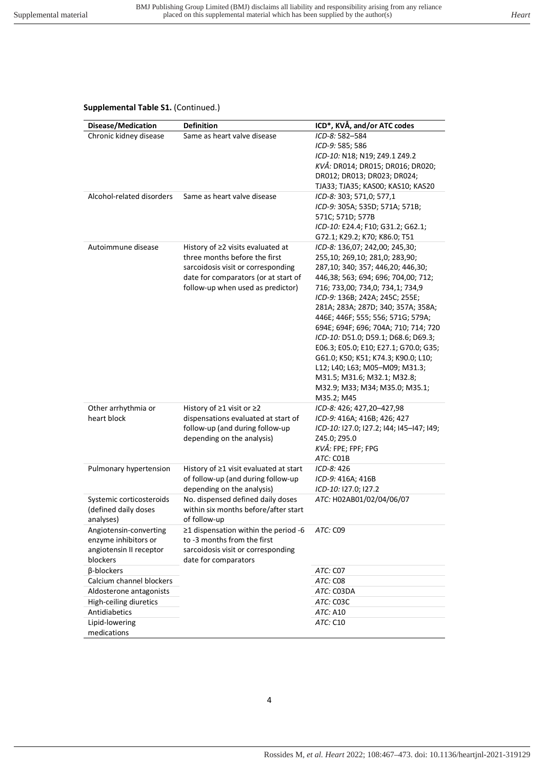### **Supplemental Table S1.** (Continued.)

| Disease/Medication        | <b>Definition</b>                                             | ICD*, KVÅ, and/or ATC codes                                                 |
|---------------------------|---------------------------------------------------------------|-----------------------------------------------------------------------------|
| Chronic kidney disease    | Same as heart valve disease                                   | ICD-8: 582-584<br>ICD-9: 585; 586                                           |
|                           |                                                               | ICD-10: N18; N19; Z49.1 Z49.2                                               |
|                           |                                                               | KVÅ: DR014; DR015; DR016; DR020;                                            |
|                           |                                                               | DR012; DR013; DR023; DR024;                                                 |
|                           |                                                               | TJA33; TJA35; KAS00; KAS10; KAS20                                           |
| Alcohol-related disorders | Same as heart valve disease                                   | ICD-8: 303; 571,0; 577,1                                                    |
|                           |                                                               | ICD-9: 305A; 535D; 571A; 571B;                                              |
|                           |                                                               | 571C; 571D; 577B                                                            |
|                           |                                                               | ICD-10: E24.4; F10; G31.2; G62.1;                                           |
|                           |                                                               | G72.1; K29.2; K70; K86.0; T51                                               |
| Autoimmune disease        | History of ≥2 visits evaluated at                             | ICD-8: 136,07; 242,00; 245,30;                                              |
|                           | three months before the first                                 | 255,10; 269,10; 281,0; 283,90;                                              |
|                           | sarcoidosis visit or corresponding                            | 287,10; 340; 357; 446,20; 446,30;                                           |
|                           | date for comparators (or at start of                          | 446,38; 563; 694; 696; 704,00; 712;                                         |
|                           | follow-up when used as predictor)                             | 716; 733,00; 734,0; 734,1; 734,9                                            |
|                           |                                                               | ICD-9: 136B; 242A; 245C; 255E;                                              |
|                           |                                                               | 281A; 283A; 287D; 340; 357A; 358A;                                          |
|                           |                                                               | 446E; 446F; 555; 556; 571G; 579A;                                           |
|                           |                                                               | 694E; 694F; 696; 704A; 710; 714; 720<br>ICD-10: D51.0; D59.1; D68.6; D69.3; |
|                           |                                                               | E06.3; E05.0; E10; E27.1; G70.0; G35;                                       |
|                           |                                                               | G61.0; K50; K51; K74.3; K90.0; L10;                                         |
|                           |                                                               | L12; L40; L63; M05-M09; M31.3;                                              |
|                           |                                                               | M31.5; M31.6; M32.1; M32.8;                                                 |
|                           |                                                               | M32.9; M33; M34; M35.0; M35.1;                                              |
|                           |                                                               | M35.2; M45                                                                  |
| Other arrhythmia or       | History of $\geq$ 1 visit or $\geq$ 2                         | ICD-8: 426; 427,20-427,98                                                   |
| heart block               | dispensations evaluated at start of                           | ICD-9: 416A; 416B; 426; 427                                                 |
|                           | follow-up (and during follow-up<br>depending on the analysis) | ICD-10: 127.0; 127.2; 144; 145-147; 149;<br>Z45.0; Z95.0                    |
|                           |                                                               | KVÅ: FPE; FPF; FPG                                                          |
|                           |                                                               | ATC: CO1B                                                                   |
| Pulmonary hypertension    | History of $\geq 1$ visit evaluated at start                  | ICD-8: 426                                                                  |
|                           | of follow-up (and during follow-up                            | ICD-9: 416A; 416B                                                           |
|                           | depending on the analysis)                                    | ICD-10: 127.0; 127.2                                                        |
| Systemic corticosteroids  | No. dispensed defined daily doses                             | ATC: H02AB01/02/04/06/07                                                    |
| (defined daily doses      | within six months before/after start                          |                                                                             |
| analyses)                 | of follow-up                                                  |                                                                             |
| Angiotensin-converting    | ≥1 dispensation within the period -6                          | ATC: C09                                                                    |
| enzyme inhibitors or      | to -3 months from the first                                   |                                                                             |
| angiotensin II receptor   | sarcoidosis visit or corresponding                            |                                                                             |
| blockers<br>β-blockers    | date for comparators                                          | ATC: C07                                                                    |
| Calcium channel blockers  |                                                               | ATC: C08                                                                    |
| Aldosterone antagonists   |                                                               | ATC: C03DA                                                                  |
| High-ceiling diuretics    |                                                               | ATC: C03C                                                                   |
| Antidiabetics             |                                                               | <i>ATC:</i> A10                                                             |
| Lipid-lowering            |                                                               | ATC: C10                                                                    |
| medications               |                                                               |                                                                             |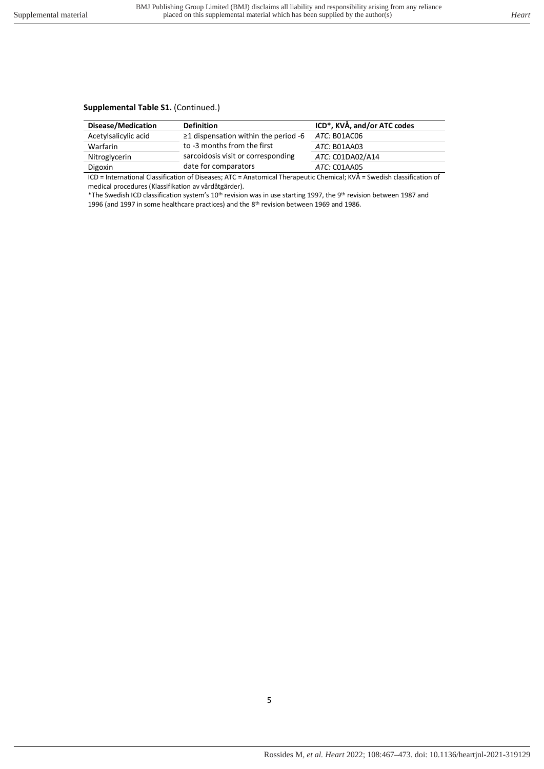## **Supplemental Table S1.** (Continued.)

| $\geq$ 1 dispensation within the period -6<br>ATC: B01AC06 |
|------------------------------------------------------------|
| ATC: B01AA03                                               |
| sarcoidosis visit or corresponding<br>ATC: C01DA02/A14     |
| ATC: CO1AA05                                               |
| .                                                          |

ICD = International Classification of Diseases; ATC = Anatomical Therapeutic Chemical; KVÅ = Swedish classification of medical procedures (Klassifikation av vårdåtgärder).

\*The Swedish ICD classification system's 10th revision was in use starting 1997, the 9th revision between 1987 and 1996 (and 1997 in some healthcare practices) and the 8<sup>th</sup> revision between 1969 and 1986.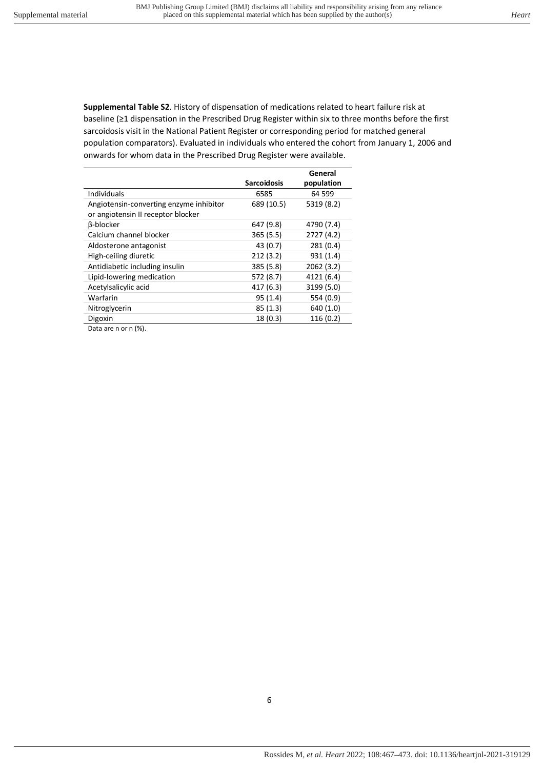<span id="page-5-0"></span>**Supplemental Table S2**. History of dispensation of medications related to heart failure risk at baseline (≥1 dispensation in the Prescribed Drug Register within six to three months before the first sarcoidosis visit in the National Patient Register or corresponding period for matched general population comparators). Evaluated in individuals who entered the cohort from January 1, 2006 and onwards for whom data in the Prescribed Drug Register were available.

|                                         |                    | General    |
|-----------------------------------------|--------------------|------------|
|                                         | <b>Sarcoidosis</b> | population |
| Individuals                             | 6585               | 64 599     |
| Angiotensin-converting enzyme inhibitor | 689 (10.5)         | 5319 (8.2) |
| or angiotensin II receptor blocker      |                    |            |
| <b>B-blocker</b>                        | 647 (9.8)          | 4790 (7.4) |
| Calcium channel blocker                 | 365(5.5)           | 2727 (4.2) |
| Aldosterone antagonist                  | 43 (0.7)           | 281(0.4)   |
| High-ceiling diuretic                   | 212(3.2)           | 931 (1.4)  |
| Antidiabetic including insulin          | 385 (5.8)          | 2062 (3.2) |
| Lipid-lowering medication               | 572 (8.7)          | 4121 (6.4) |
| Acetylsalicylic acid                    | 417 (6.3)          | 3199 (5.0) |
| Warfarin                                | 95(1.4)            | 554 (0.9)  |
| Nitroglycerin                           | 85(1.3)            | 640 (1.0)  |
| Digoxin                                 | 18(0.3)            | 116 (0.2)  |
|                                         |                    |            |

Data are n or n (%).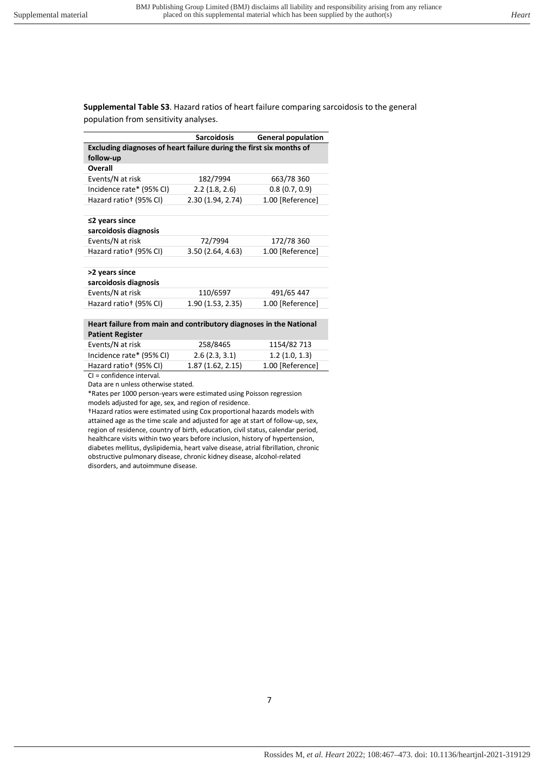<span id="page-6-0"></span>**Supplemental Table S3**. Hazard ratios of heart failure comparing sarcoidosis to the general population from sensitivity analyses.

|                                                                     | Sarcoidosis      | <b>General population</b> |
|---------------------------------------------------------------------|------------------|---------------------------|
| Excluding diagnoses of heart failure during the first six months of |                  |                           |
| follow-up                                                           |                  |                           |
| <b>Overall</b>                                                      |                  |                           |
| Events/N at risk                                                    | 182/7994         | 663/78 360                |
| Incidence rate* (95% CI)                                            | 2.2(1.8, 2.6)    | 0.8(0.7, 0.9)             |
| Hazard ratio <sup>†</sup> (95% CI)                                  | 2.30(1.94, 2.74) | 1.00 [Reference]          |
|                                                                     |                  |                           |
| $\leq$ 2 years since                                                |                  |                           |
| sarcoidosis diagnosis                                               |                  |                           |
| Events/N at risk                                                    | 72/7994          | 172/78 360                |
| Hazard ratio <sup>+</sup> (95% CI)                                  | 3.50(2.64, 4.63) | 1.00 [Reference]          |
|                                                                     |                  |                           |
| >2 years since                                                      |                  |                           |
| sarcoidosis diagnosis                                               |                  |                           |
| Events/N at risk                                                    | 110/6597         | 491/65 447                |
| Hazard ratio <sup>+</sup> (95% CI)                                  | 1.90(1.53, 2.35) | 1.00 [Reference]          |
|                                                                     |                  |                           |
| Heart failure from main and contributory diagnoses in the National  |                  |                           |

| <b>Patient Register</b> |                                          |             |  |
|-------------------------|------------------------------------------|-------------|--|
| Events/N at risk        | 258/8465                                 | 1154/82 713 |  |
|                         | $\begin{array}{c} \n\bullet \end{array}$ | 4.214.2.3   |  |

| Incidence rate* (95% CI)           | 2.6(2.3, 3.1)    | 1.2(1.0, 1.3)    |
|------------------------------------|------------------|------------------|
| Hazard ratio <sup>+</sup> (95% CI) | 1.87(1.62, 2.15) | 1.00 [Reference] |
| $Cl = confidoneq intonel$          |                  |                  |

CI = confidence interval.

Data are n unless otherwise stated.

\*Rates per 1000 person-years were estimated using Poisson regression models adjusted for age, sex, and region of residence.

†Hazard ratios were estimated using Cox proportional hazards models with attained age as the time scale and adjusted for age at start of follow-up, sex, region of residence, country of birth, education, civil status, calendar period, healthcare visits within two years before inclusion, history of hypertension, diabetes mellitus, dyslipidemia, heart valve disease, atrial fibrillation, chronic obstructive pulmonary disease, chronic kidney disease, alcohol-related disorders, and autoimmune disease.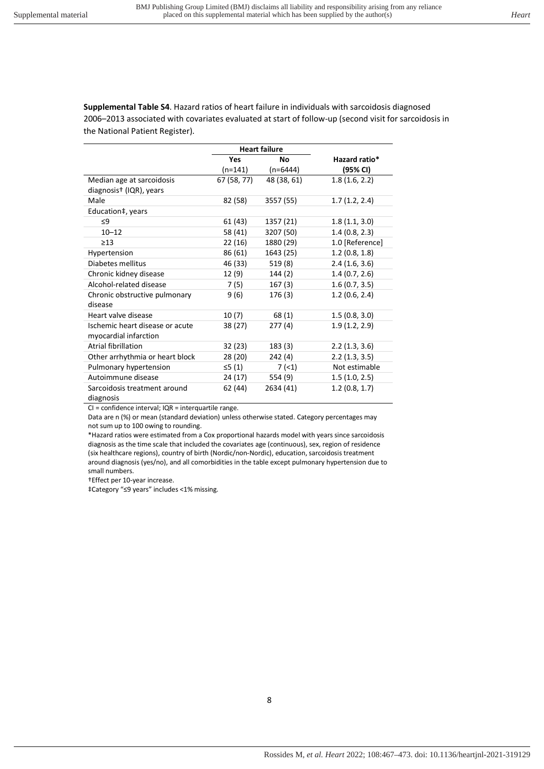<span id="page-7-0"></span>**Supplemental Table S4**. Hazard ratios of heart failure in individuals with sarcoidosis diagnosed 2006–2013 associated with covariates evaluated at start of follow-up (second visit for sarcoidosis in the National Patient Register).

|                                     | <b>Heart failure</b> |             |                 |
|-------------------------------------|----------------------|-------------|-----------------|
|                                     | <b>Yes</b>           | Nο          | Hazard ratio*   |
|                                     | (n=141)              | $(n=6444)$  | (95% CI)        |
| Median age at sarcoidosis           | 67 (58, 77)          | 48 (38, 61) | 1.8(1.6, 2.2)   |
| diagnosis <sup>+</sup> (IQR), years |                      |             |                 |
| Male                                | 82 (58)              | 3557 (55)   | 1.7(1.2, 2.4)   |
| Education‡, years                   |                      |             |                 |
| $\leq$ 9                            | 61 (43)              | 1357 (21)   | 1.8(1.1, 3.0)   |
| $10 - 12$                           | 58 (41)              | 3207 (50)   | 1.4(0.8, 2.3)   |
| $\geq$ 13                           | 22 (16)              | 1880 (29)   | 1.0 [Reference] |
| Hypertension                        | 86 (61)              | 1643 (25)   | 1.2(0.8, 1.8)   |
| Diabetes mellitus                   | 46 (33)              | 519(8)      | 2.4(1.6, 3.6)   |
| Chronic kidney disease              | 12 (9)               | 144 (2)     | 1.4(0.7, 2.6)   |
| Alcohol-related disease             | 7(5)                 | 167(3)      | 1.6(0.7, 3.5)   |
| Chronic obstructive pulmonary       | 9 (6)                | 176 (3)     | 1.2(0.6, 2.4)   |
| disease                             |                      |             |                 |
| Heart valve disease                 | 10(7)                | 68(1)       | 1.5(0.8, 3.0)   |
| Ischemic heart disease or acute     | 38 (27)              | 277(4)      | 1.9(1.2, 2.9)   |
| myocardial infarction               |                      |             |                 |
| Atrial fibrillation                 | 32 (23)              | 183 (3)     | 2.2(1.3, 3.6)   |
| Other arrhythmia or heart block     | 28 (20)              | 242(4)      | 2.2(1.3, 3.5)   |
| Pulmonary hypertension              | ≤5 (1)               | 7(1)        | Not estimable   |
| Autoimmune disease                  | 24 (17)              | 554 (9)     | 1.5(1.0, 2.5)   |
| Sarcoidosis treatment around        | 62 (44)              | 2634 (41)   | 1.2(0.8, 1.7)   |
| diagnosis                           |                      |             |                 |

CI = confidence interval; IQR = interquartile range.

Data are n (%) or mean (standard deviation) unless otherwise stated. Category percentages may not sum up to 100 owing to rounding.

\*Hazard ratios were estimated from a Cox proportional hazards model with years since sarcoidosis diagnosis as the time scale that included the covariates age (continuous), sex, region of residence (six healthcare regions), country of birth (Nordic/non-Nordic), education, sarcoidosis treatment around diagnosis (yes/no), and all comorbidities in the table except pulmonary hypertension due to small numbers.

†Effect per 10-year increase.

‡Category "≤9 years" includes <1% missing.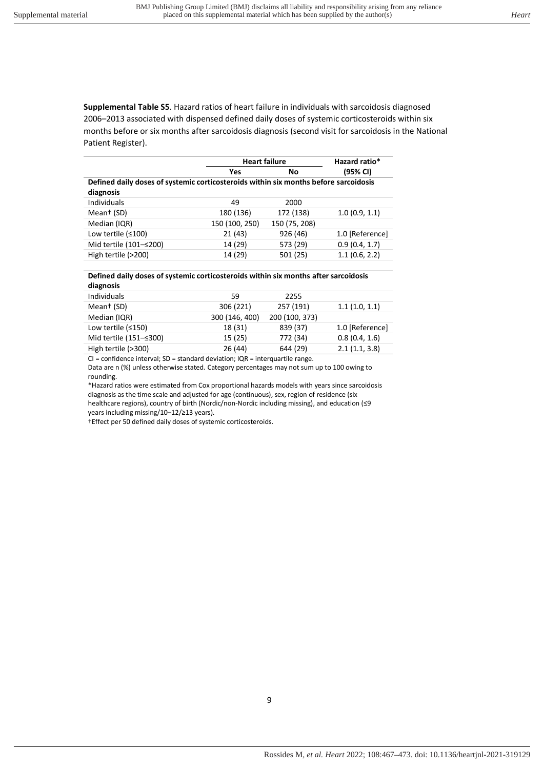<span id="page-8-0"></span>**Supplemental Table S5**. Hazard ratios of heart failure in individuals with sarcoidosis diagnosed 2006–2013 associated with dispensed defined daily doses of systemic corticosteroids within six months before or six months after sarcoidosis diagnosis (second visit for sarcoidosis in the National Patient Register).

|                                                                                      | <b>Heart failure</b> |               | Hazard ratio*   |
|--------------------------------------------------------------------------------------|----------------------|---------------|-----------------|
|                                                                                      | Yes                  | No            | (95% CI)        |
| Defined daily doses of systemic corticosteroids within six months before sarcoidosis |                      |               |                 |
| diagnosis                                                                            |                      |               |                 |
| Individuals                                                                          | 49                   | 2000          |                 |
| Mean <sup>+</sup> (SD)                                                               | 180 (136)            | 172 (138)     | 1.0(0.9, 1.1)   |
| Median (IQR)                                                                         | 150 (100, 250)       | 150 (75, 208) |                 |
| Low tertile $(≤100)$                                                                 | 21(43)               | 926 (46)      | 1.0 [Reference] |
| Mid tertile (101-≤200)                                                               | 14 (29)              | 573 (29)      | 0.9(0.4, 1.7)   |
| High tertile (>200)                                                                  | 14 (29)              | 501 (25)      | 1.1(0.6, 2.2)   |

#### **Defined daily doses of systemic corticosteroids within six months after sarcoidosis diagnosis**

| <b>Individuals</b>     | 59             | 2255           |                 |
|------------------------|----------------|----------------|-----------------|
| Mean <sup>+</sup> (SD) | 306 (221)      | 257 (191)      | 1.1(1.0, 1.1)   |
| Median (IQR)           | 300 (146, 400) | 200 (100, 373) |                 |
| Low tertile $(≤150)$   | 18 (31)        | 839 (37)       | 1.0 [Reference] |
| Mid tertile (151–≤300) | 15 (25)        | 772 (34)       | 0.8(0.4, 1.6)   |
| High tertile (>300)    | 26 (44)        | 644 (29)       | 2.1(1.1, 3.8)   |
|                        |                |                |                 |

CI = confidence interval; SD = standard deviation; IQR = interquartile range. Data are n (%) unless otherwise stated. Category percentages may not sum up to 100 owing to rounding.

\*Hazard ratios were estimated from Cox proportional hazards models with years since sarcoidosis diagnosis as the time scale and adjusted for age (continuous), sex, region of residence (six healthcare regions), country of birth (Nordic/non-Nordic including missing), and education (≤9 years including missing/10–12/≥13 years).

†Effect per 50 defined daily doses of systemic corticosteroids.